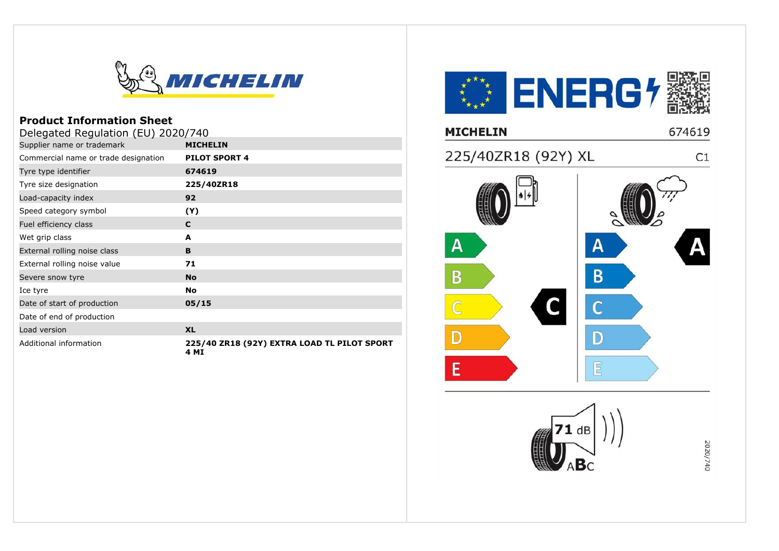

| Delegated Regulation (EU) 2020/740   |                                                     |  |
|--------------------------------------|-----------------------------------------------------|--|
| Supplier name or trademark           | <b>MICHELIN</b>                                     |  |
| Commercial name or trade designation | <b>PILOT SPORT 4</b>                                |  |
| Tyre type identifier                 | 674619                                              |  |
| Tyre size designation                | 225/40ZR18                                          |  |
| Load-capacity index                  | 92                                                  |  |
| Speed category symbol                | (Y)                                                 |  |
| Fuel efficiency class                | C                                                   |  |
| Wet grip class                       | A                                                   |  |
| External rolling noise class         | B                                                   |  |
| External rolling noise value         | 71                                                  |  |
| Severe snow tyre                     | <b>No</b>                                           |  |
| Ice tyre                             | <b>No</b>                                           |  |
| Date of start of production          | 05/15                                               |  |
| Date of end of production            |                                                     |  |
| Load version                         | <b>XL</b>                                           |  |
| Additional information               | 225/40 ZR18 (92Y) EXTRA LOAD TL PILOT SPORT<br>4 MI |  |

**■ ENERGケ** 674619 **MICHELIN** 225/40ZR18 (92Y) XL  $C1$  $\overline{\mathsf{A}}$  $\mathbf{A}$  $\overline{B}$ B  $\overline{C}$  $\mathbb{D}$ D  $E$ F 2020/740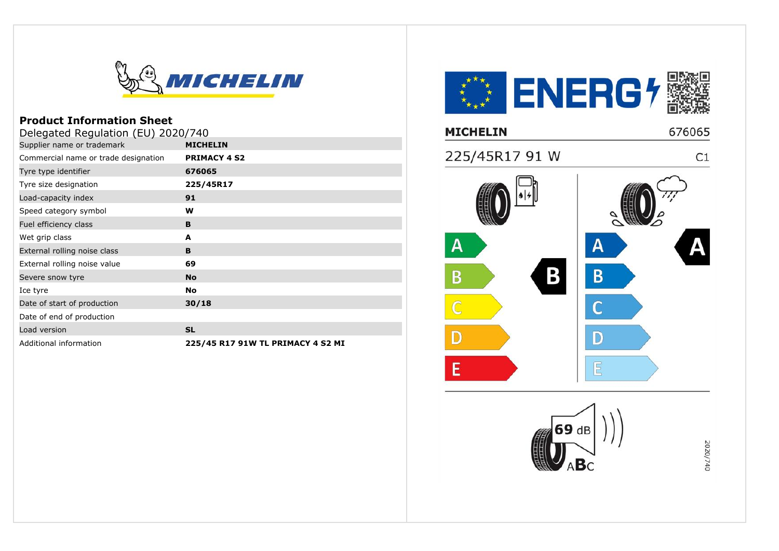

| Delegated Regulation (EU) 2020/740   |                                   |  |
|--------------------------------------|-----------------------------------|--|
| Supplier name or trademark           | <b>MICHELIN</b>                   |  |
| Commercial name or trade designation | <b>PRIMACY 4 S2</b>               |  |
| Tyre type identifier                 | 676065                            |  |
| Tyre size designation                | 225/45R17                         |  |
| Load-capacity index                  | 91                                |  |
| Speed category symbol                | w                                 |  |
| Fuel efficiency class                | B                                 |  |
| Wet grip class                       | A                                 |  |
| External rolling noise class         | B                                 |  |
| External rolling noise value         | 69                                |  |
| Severe snow tyre                     | <b>No</b>                         |  |
| Ice tyre                             | <b>No</b>                         |  |
| Date of start of production          | 30/18                             |  |
| Date of end of production            |                                   |  |
| Load version                         | <b>SL</b>                         |  |
| Additional information               | 225/45 R17 91W TL PRIMACY 4 S2 MI |  |

**■ ENERG\*** 676065 **MICHELIN** 225/45R17 91 W  $C1$  $\mathsf{A}$  $\mathbf{A}$ B  $\overline{B}$ B  $\overline{C}$  $\mathbb{D}$ D  $E$ F 69 dB 2020/740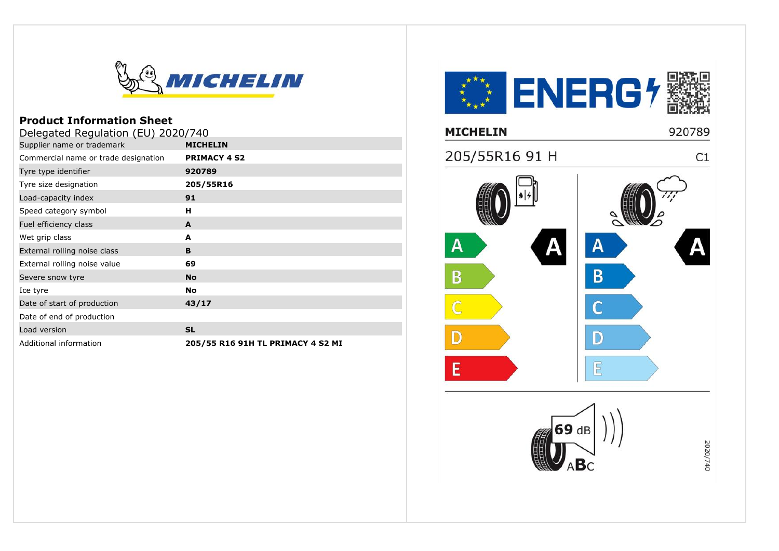

| Delegated Regulation (EU) 2020/740   |                                   |  |
|--------------------------------------|-----------------------------------|--|
| Supplier name or trademark           | <b>MICHELIN</b>                   |  |
| Commercial name or trade designation | <b>PRIMACY 4 S2</b>               |  |
| Tyre type identifier                 | 920789                            |  |
| Tyre size designation                | 205/55R16                         |  |
| Load-capacity index                  | 91                                |  |
| Speed category symbol                | н                                 |  |
| Fuel efficiency class                | A                                 |  |
| Wet grip class                       | A                                 |  |
| External rolling noise class         | B                                 |  |
| External rolling noise value         | 69                                |  |
| Severe snow tyre                     | <b>No</b>                         |  |
| Ice tyre                             | <b>No</b>                         |  |
| Date of start of production          | 43/17                             |  |
| Date of end of production            |                                   |  |
| Load version                         | <b>SL</b>                         |  |
| Additional information               | 205/55 R16 91H TL PRIMACY 4 S2 MI |  |

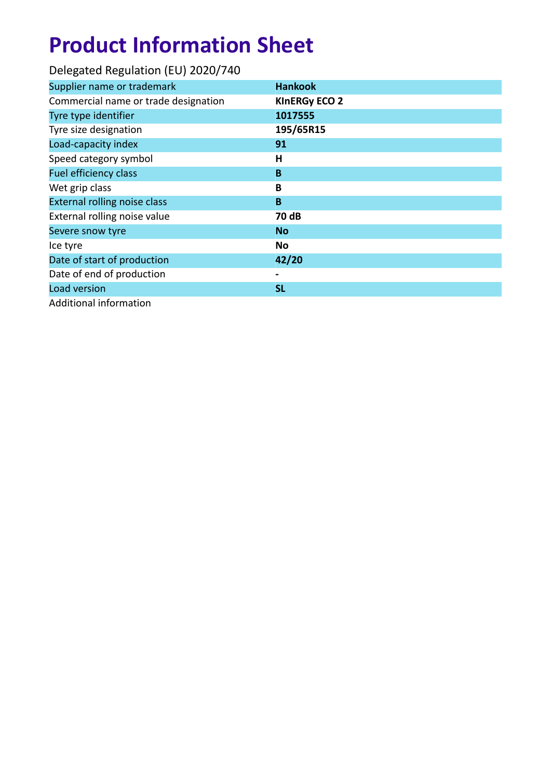| Delegated Regulation (EU) 2020/740   |                      |
|--------------------------------------|----------------------|
| Supplier name or trademark           | <b>Hankook</b>       |
| Commercial name or trade designation | <b>KInERGy ECO 2</b> |
| Tyre type identifier                 | 1017555              |
| Tyre size designation                | 195/65R15            |
| Load-capacity index                  | 91                   |
| Speed category symbol                | Н                    |
| <b>Fuel efficiency class</b>         | B                    |
| Wet grip class                       | B                    |
| <b>External rolling noise class</b>  | B                    |
| External rolling noise value         | 70 dB                |
| Severe snow tyre                     | <b>No</b>            |
| Ice tyre                             | No                   |
| Date of start of production          | 42/20                |
| Date of end of production            |                      |
| Load version                         | <b>SL</b>            |
| Additional information               |                      |